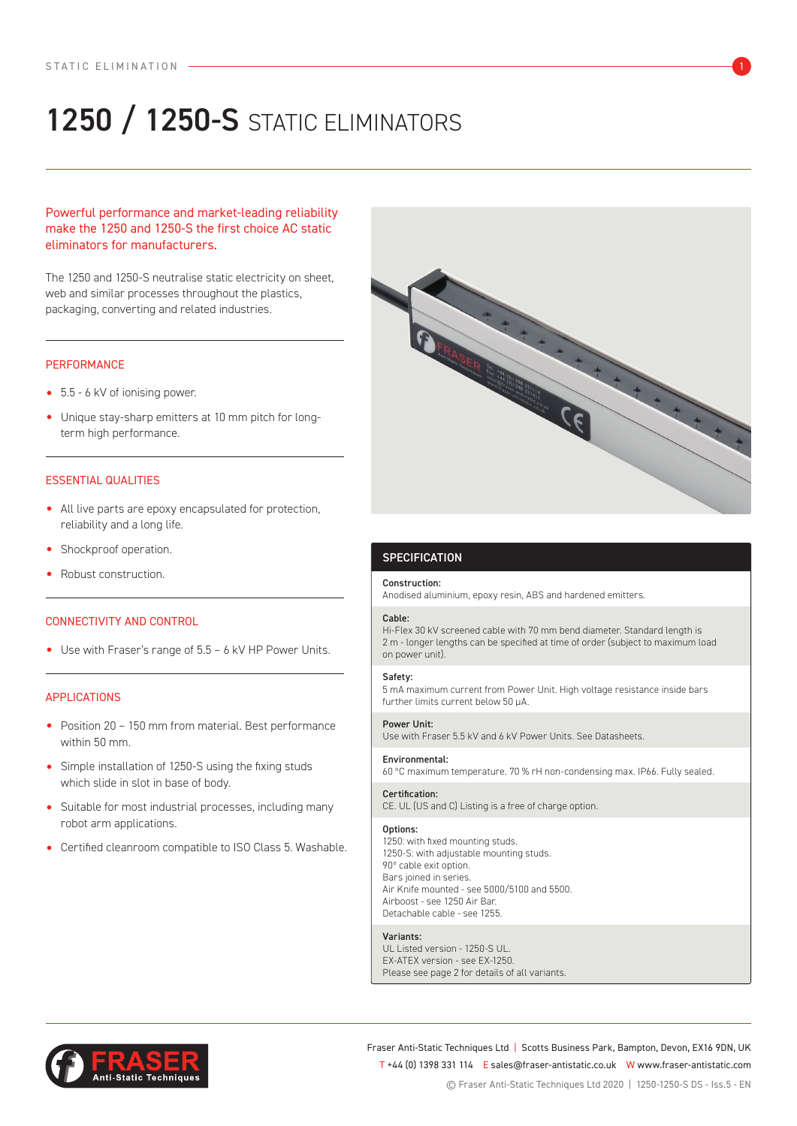# 1250 / 1250-S STATIC ELIMINATORS

# Powerful performance and market-leading reliability make the 1250 and 1250-S the first choice AC static eliminators for manufacturers.

The 1250 and 1250-S neutralise static electricity on sheet, web and similar processes throughout the plastics, packaging, converting and related industries.

## **PERFORMANCE**

- 5.5 6 kV of ionising power.
- Unique stay-sharp emitters at 10 mm pitch for longterm high performance.

# ESSENTIAL QUALITIES

- All live parts are epoxy encapsulated for protection, reliability and a long life.
- Shockproof operation.
- Robust construction.

# CONNECTIVITY AND CONTROL

• Use with Fraser's range of 5.5 – 6 kV HP Power Units.

# APPLICATIONS

- Position 20 150 mm from material. Best performance within 50 mm.
- Simple installation of 1250-S using the fixing studs which slide in slot in base of body.
- Suitable for most industrial processes, including many robot arm applications.
- Certified cleanroom compatible to ISO Class 5. Washable.



# **SPECIFICATION**

#### Construction:

Anodised aluminium, epoxy resin, ABS and hardened emitters.

## Cable:

Hi-Flex 30 kV screened cable with 70 mm bend diameter. Standard length is 2 m - longer lengths can be specified at time of order (subject to maximum load on power unit).

### Safety:

5 mA maximum current from Power Unit. High voltage resistance inside bars further limits current below 50 μA.

#### Power Unit:

Use with Fraser 5.5 kV and 6 kV Power Units. See Datasheets.

#### Environmental:

60 ºC maximum temperature. 70 % rH non-condensing max. IP66. Fully sealed.

# Certification:

CE. UL (US and C) Listing is a free of charge option.

#### Options:

1250: with fixed mounting studs. 1250-S: with adjustable mounting studs. 90º cable exit option. Bars joined in series. Air Knife mounted - see 5000/5100 and 5500. Airboost - see 1250 Air Bar. Detachable cable - see 1255.

#### Variants:

UL Listed version - 1250-S UL. EX-ATEX version - see EX-1250. Please see page 2 for details of all variants.



Fraser Anti-Static Techniques Ltd | Scotts Business Park, Bampton, Devon, EX16 9DN, UK T +44 (0) 1398 331 114 E sales@fraser-antistatic.co.uk W www.fraser-antistatic.com